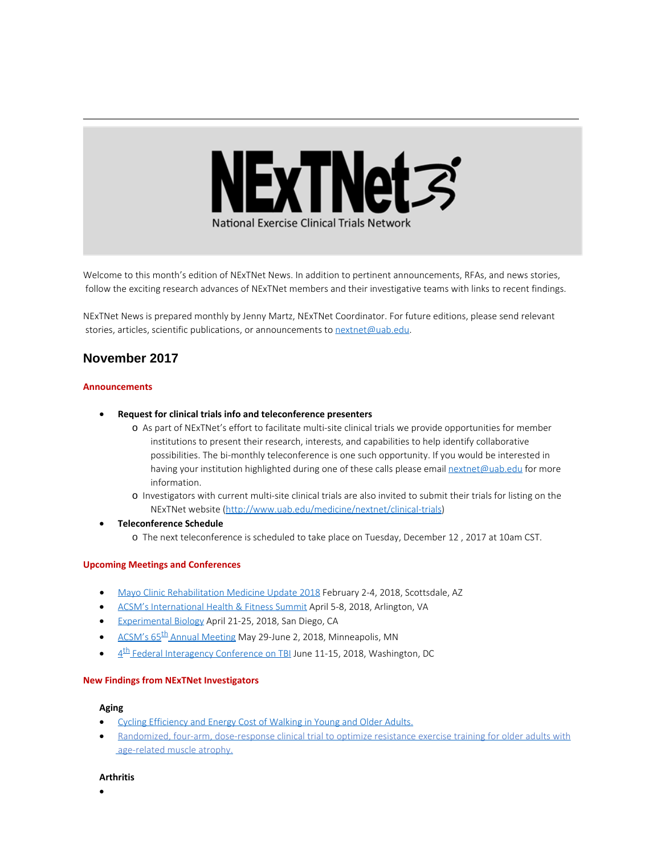

Welcome to this month's edition of NExTNet News. In addition to pertinent announcements, RFAs, and news stories, follow the exciting research advances of NExTNet members and their investigative teams with links to recent findings.

NExTNet News is prepared monthly by Jenny Martz, NExTNet Coordinator. For future editions, please send relevant stories, articles, scientific publications, or announcements to [nextnet@uab.edu](mailto:nextnet@uab.edu).

# **November 2017**

### **Announcements**

- · **Request for clinical trials info and teleconference presenters**
	- o As part of NExTNet's effort to facilitate multi-site clinical trials we provide opportunities for member institutions to present their research, interests, and capabilities to help identify collaborative possibilities. The bi-monthly teleconference is one such opportunity. If you would be interested in having your institution highlighted during one of these calls please email [nextnet@uab.edu](mailto:nextnet@uab.edu) for more information.
	- o Investigators with current multi-site clinical trials are also invited to submit their trials for listing on the NExTNet website [\(http://www.uab.edu/medicine/nextnet/clinical-trials](http://www.uab.edu/medicine/nextnet/clinical-trials))
- · **Teleconference Schedule**
	- o The next teleconference is scheduled to take place on Tuesday, December 12 , 2017 at 10am CST.

### **Upcoming Meetings and Conferences**

- · [Mayo Clinic Rehabilitation Medicine Update 2018](https://ce.mayo.edu/physical-medicine-and-rehabilitation/content/rehabilitation-medicine-update-2018) February 2-4, 2018, Scottsdale, AZ
- [ACSM's International Health & Fitness Summit](http://acsmsummit.org/) April 5-8, 2018, Arlington, VA
- [Experimental Biology](http://experimentalbiology.org/2018/Home.aspx) April 21-25, 2018, San Diego, CA
- ACSM's 65<sup>th</sup> Annual Meeting May 29-June 2, 2018, Minneapolis, MN
- $4<sup>th</sup>$  Federal Interagency Conference on TBI June 11-15, 2018, Washington, DC

### **New Findings from NExTNet Investigators**

#### **Aging**

- [Cycling Efficiency and Energy Cost of Walking in Young and Older Adults.](https://www.ncbi.nlm.nih.gov/pubmed/29146688)
- [Randomized, four-arm, dose-response clinical trial to optimize resistance exercise training for older adults with](https://www.ncbi.nlm.nih.gov/pubmed/28964826) [age-related muscle atrophy.](https://www.ncbi.nlm.nih.gov/pubmed/28964826)

#### **Arthritis**

·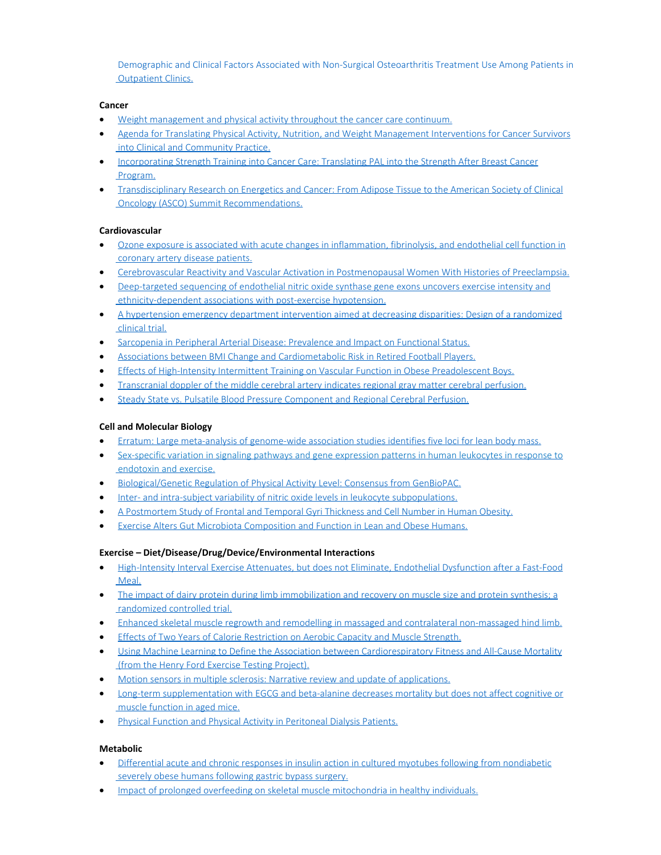[Demographic and Clinical Factors Associated with Non-Surgical Osteoarthritis Treatment Use Among Patients in](https://www.ncbi.nlm.nih.gov/pubmed/29125899) **Outpatient Clinics.** 

## **Cancer**

- [Weight management and physical activity throughout the cancer care continuum.](https://www.ncbi.nlm.nih.gov/pubmed/29165798)
- · [Agenda for Translating Physical Activity, Nutrition, and Weight Management Interventions for Cancer Survivors](https://www.ncbi.nlm.nih.gov/pubmed/29086526)  [into Clinical and Community Practice.](https://www.ncbi.nlm.nih.gov/pubmed/29086526)
- · [Incorporating Strength Training into Cancer Care: Translating PAL into the Strength After Breast Cancer](https://www.ncbi.nlm.nih.gov/pubmed/29086524)  [Program.](https://www.ncbi.nlm.nih.gov/pubmed/29086524)
- · [Transdisciplinary Research on Energetics and Cancer: From Adipose Tissue to the American Society of Clinical](https://www.ncbi.nlm.nih.gov/pubmed/29086518)  [Oncology \(ASCO\) Summit Recommendations.](https://www.ncbi.nlm.nih.gov/pubmed/29086518)

### **Cardiovascular**

- · [Ozone exposure is associated with acute changes in inflammation, fibrinolysis, and endothelial cell function in](https://www.ncbi.nlm.nih.gov/pubmed/29157250)  [coronary artery disease patients.](https://www.ncbi.nlm.nih.gov/pubmed/29157250)
- · [Cerebrovascular Reactivity and Vascular Activation in Postmenopausal Women With Histories of Preeclampsia.](https://www.ncbi.nlm.nih.gov/pubmed/29158356)
- · [Deep-targeted sequencing of endothelial nitric oxide synthase gene exons uncovers exercise intensity and](https://www.ncbi.nlm.nih.gov/pubmed/29180482) ethnicity-dependent associations with post-exercise hypotension.
- · [A hypertension emergency department intervention aimed at decreasing disparities: Design of a randomized](https://www.ncbi.nlm.nih.gov/pubmed/29128648)  [clinical trial.](https://www.ncbi.nlm.nih.gov/pubmed/29128648)
- · [Sarcopenia in Peripheral Arterial Disease: Prevalence and Impact on Functional Status.](https://www.ncbi.nlm.nih.gov/pubmed/29138051)
- [Associations between BMI Change and Cardiometabolic Risk in Retired Football Players.](https://www.ncbi.nlm.nih.gov/pubmed/29140900)
- [Effects of High-Intensity Intermittent Training on Vascular Function in Obese Preadolescent Boys.](https://www.ncbi.nlm.nih.gov/pubmed/29099231)
- [Transcranial doppler of the middle cerebral artery indicates regional gray matter cerebral perfusion.](https://www.ncbi.nlm.nih.gov/pubmed/29091052)
- · [Steady State vs. Pulsatile Blood Pressure Component and Regional Cerebral Perfusion.](https://www.ncbi.nlm.nih.gov/pubmed/29059301)

### **Cell and Molecular Biology**

- · [Erratum: Large meta-analysis of genome-wide association studies identifies five loci for lean body mass.](https://www.ncbi.nlm.nih.gov/pubmed/29116125)
- [Sex-specific variation in signaling pathways and gene expression patterns in human leukocytes in response to](https://www.ncbi.nlm.nih.gov/pubmed/27832807)  [endotoxin and exercise.](https://www.ncbi.nlm.nih.gov/pubmed/27832807)
- · [Biological/Genetic Regulation of Physical Activity Level: Consensus from GenBioPAC.](https://www.ncbi.nlm.nih.gov/pubmed/29166322)
- · [Inter- and intra-subject variability of nitric oxide levels in leukocyte subpopulations.](https://www.ncbi.nlm.nih.gov/pubmed/29129818)
- · [A Postmortem Study of Frontal and Temporal Gyri Thickness and Cell Number in Human Obesity.](https://www.ncbi.nlm.nih.gov/pubmed/29131517)
- [Exercise Alters Gut Microbiota Composition and Function in Lean and Obese Humans.](https://www.ncbi.nlm.nih.gov/pubmed/29166320)

### **Exercise – Diet/Disease/Drug/Device/Environmental Interactions**

- · [High-Intensity Interval Exercise Attenuates, but does not Eliminate, Endothelial Dysfunction after a Fast-Food](https://www.ncbi.nlm.nih.gov/pubmed/29101171)  [Meal.](https://www.ncbi.nlm.nih.gov/pubmed/29101171)
- [The impact of dairy protein during limb immobilization and recovery on muscle size and protein synthesis; a](https://www.ncbi.nlm.nih.gov/pubmed/29122965)  [randomized controlled trial.](https://www.ncbi.nlm.nih.gov/pubmed/29122965)
- · [Enhanced skeletal muscle regrowth and remodelling in massaged and contralateral non-massaged hind limb.](https://www.ncbi.nlm.nih.gov/pubmed/29090454)
- · [Effects of Two Years of Calorie Restriction on Aerobic Capacity and Muscle Strength.](https://www.ncbi.nlm.nih.gov/pubmed/29045325)
- · [Using Machine Learning to Define the Association between Cardiorespiratory Fitness and All-Cause Mortality](https://www.ncbi.nlm.nih.gov/pubmed/28951020)  [\(from the Henry Ford Exercise Testing Project\).](https://www.ncbi.nlm.nih.gov/pubmed/28951020)
- · [Motion sensors in multiple sclerosis: Narrative review and update of applications.](https://www.ncbi.nlm.nih.gov/pubmed/28956457)
- · [Long-term supplementation with EGCG and beta-alanine decreases mortality but does not affect cognitive or](https://www.ncbi.nlm.nih.gov/pubmed/28818411)  [muscle function in aged mice.](https://www.ncbi.nlm.nih.gov/pubmed/28818411)
- · [Physical Function and Physical Activity in Peritoneal Dialysis Patients.](https://www.ncbi.nlm.nih.gov/pubmed/28970364)

## **Metabolic**

- · [Differential acute and chronic responses in insulin action in cultured myotubes following from nondiabetic](https://www.ncbi.nlm.nih.gov/pubmed/28673470)  [severely obese humans following gastric bypass surgery.](https://www.ncbi.nlm.nih.gov/pubmed/28673470)
- [Impact of prolonged overfeeding on skeletal muscle mitochondria in healthy individuals.](https://www.ncbi.nlm.nih.gov/pubmed/29150696)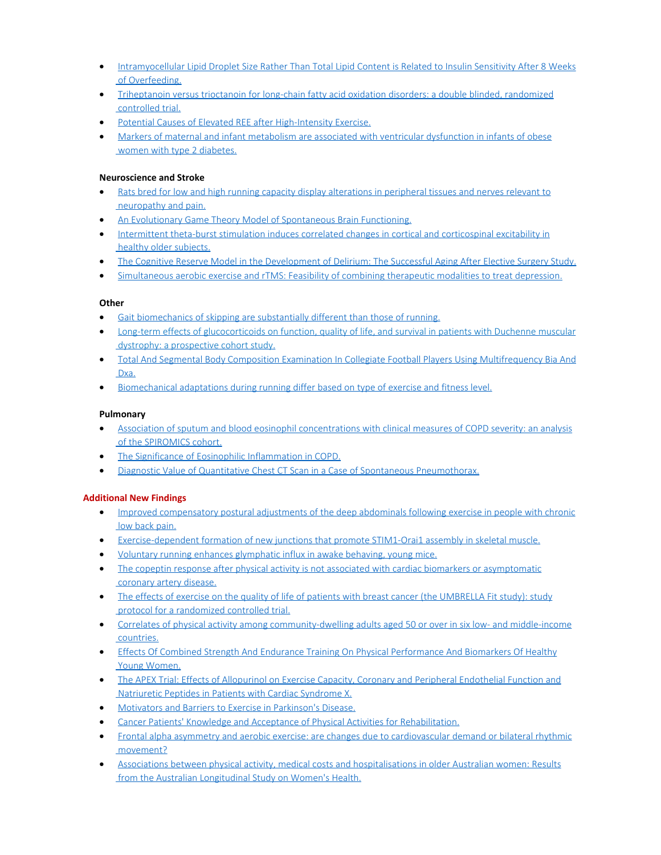- · [Intramyocellular Lipid Droplet Size Rather Than Total Lipid Content is Related to Insulin Sensitivity After 8 Weeks](https://www.ncbi.nlm.nih.gov/pubmed/29071793)  [of Overfeeding.](https://www.ncbi.nlm.nih.gov/pubmed/29071793)
- · [Triheptanoin versus trioctanoin for long-chain fatty acid oxidation disorders: a double blinded, randomized](https://www.ncbi.nlm.nih.gov/pubmed/28871440)  [controlled trial.](https://www.ncbi.nlm.nih.gov/pubmed/28871440)
- · [Potential Causes of Elevated REE after High-Intensity Exercise.](https://www.ncbi.nlm.nih.gov/pubmed/28737531)
- · [Markers of maternal and infant metabolism are associated with ventricular dysfunction in infants of obese](https://www.ncbi.nlm.nih.gov/pubmed/28604759)  [women with type 2 diabetes.](https://www.ncbi.nlm.nih.gov/pubmed/28604759)

## **Neuroscience and Stroke**

- [Rats bred for low and high running capacity display alterations in peripheral tissues and nerves relevant to](http://www.ncbi.nlm.nih.gov/pubmed/29075557)  [neuropathy and pain.](http://www.ncbi.nlm.nih.gov/pubmed/29075557)
- [An Evolutionary Game Theory Model of Spontaneous Brain Functioning.](https://www.ncbi.nlm.nih.gov/pubmed/29167478)
- · [Intermittent theta-burst stimulation induces correlated changes in cortical and corticospinal excitability in](https://www.ncbi.nlm.nih.gov/pubmed/29096215)  [healthy older subjects.](https://www.ncbi.nlm.nih.gov/pubmed/29096215)
- [The Cognitive Reserve Model in the Development of Delirium: The Successful Aging After Elective Surgery Study.](https://www.ncbi.nlm.nih.gov/pubmed/29061098)
- · [Simultaneous aerobic exercise and rTMS: Feasibility of combining therapeutic modalities to treat depression.](https://www.ncbi.nlm.nih.gov/pubmed/29126945)

### **Other**

- · [Gait biomechanics of skipping are substantially different than those of running.](https://www.ncbi.nlm.nih.gov/pubmed/29074289)
- [Long-term effects of glucocorticoids on function, quality of life, and survival in patients with Duchenne muscular](https://www.ncbi.nlm.nih.gov/pubmed/29174484)  [dystrophy: a prospective cohort study.](https://www.ncbi.nlm.nih.gov/pubmed/29174484)
- · [Total And Segmental Body Composition Examination In Collegiate Football Players Using Multifrequency Bia And](https://www.ncbi.nlm.nih.gov/pubmed/29120982)  [Dxa.](https://www.ncbi.nlm.nih.gov/pubmed/29120982)
- · [Biomechanical adaptations during running differ based on type of exercise and fitness level.](https://www.ncbi.nlm.nih.gov/pubmed/29153477)

### **Pulmonary**

- · [Association of sputum and blood eosinophil concentrations with clinical measures of COPD severity: an analysis](https://www.ncbi.nlm.nih.gov/pubmed/29146301)  [of the SPIROMICS cohort.](https://www.ncbi.nlm.nih.gov/pubmed/29146301)
- · [The Significance of Eosinophilic Inflammation in COPD.](https://www.ncbi.nlm.nih.gov/pubmed/29140724)
- · [Diagnostic Value of Quantitative Chest CT](https://www.ncbi.nlm.nih.gov/pubmed/29126535) Scan in a Case of Spontaneous Pneumothorax.

## **Additional New Findings**

- · [Improved compensatory postural adjustments of the deep abdominals following exercise in people with chronic](http://www.ncbi.nlm.nih.gov/pubmed/29080466)  [low back pain.](http://www.ncbi.nlm.nih.gov/pubmed/29080466)
- · [Exercise-dependent formation of new junctions that promote STIM1-Orai1 assembly in skeletal muscle.](http://www.ncbi.nlm.nih.gov/pubmed/29079778)
- · [Voluntary running enhances glymphatic influx in awake behaving, young mice.](http://www.ncbi.nlm.nih.gov/pubmed/29079431)
- [The copeptin response after physical activity is not associated with cardiac biomarkers or asymptomatic](http://www.ncbi.nlm.nih.gov/pubmed/29079359)  [coronary artery disease.](http://www.ncbi.nlm.nih.gov/pubmed/29079359)
- [The effects of exercise on the quality of life of patients with breast cancer \(the UMBRELLA Fit study\): study](http://www.ncbi.nlm.nih.gov/pubmed/29078800)  [protocol for a randomized controlled trial.](http://www.ncbi.nlm.nih.gov/pubmed/29078800)
- · [Correlates of physical activity among community-dwelling adults aged 50 or over in six low- and middle-income](http://www.ncbi.nlm.nih.gov/pubmed/29077744)  [countries.](http://www.ncbi.nlm.nih.gov/pubmed/29077744)
- · [Effects Of Combined Strength And Endurance Training On Physical Performance And Biomarkers Of Healthy](http://www.ncbi.nlm.nih.gov/pubmed/29076960)  [Young Women.](http://www.ncbi.nlm.nih.gov/pubmed/29076960)
- · [The APEX Trial: Effects of Allopurinol on Exercise Capacity, Coronary and Peripheral Endothelial Function and](http://www.ncbi.nlm.nih.gov/pubmed/29080386)  [Natriuretic Peptides in Patients with Cardiac Syndrome X.](http://www.ncbi.nlm.nih.gov/pubmed/29080386)
- · [Motivators and Barriers to Exercise in Parkinson's Disease.](http://www.ncbi.nlm.nih.gov/pubmed/29103050)
- · [Cancer Patients' Knowledge and Acceptance of Physical Activities for Rehabilitation.](http://www.ncbi.nlm.nih.gov/pubmed/29102944)
- · [Frontal alpha asymmetry and aerobic exercise: are changes due to cardiovascular demand or bilateral rhythmic](http://www.ncbi.nlm.nih.gov/pubmed/29102708)  [movement?](http://www.ncbi.nlm.nih.gov/pubmed/29102708)
- [Associations between physical activity, medical costs and hospitalisations in older Australian women: Results](http://www.ncbi.nlm.nih.gov/pubmed/29102460)  [from the Australian Longitudinal Study on Women's Health.](http://www.ncbi.nlm.nih.gov/pubmed/29102460)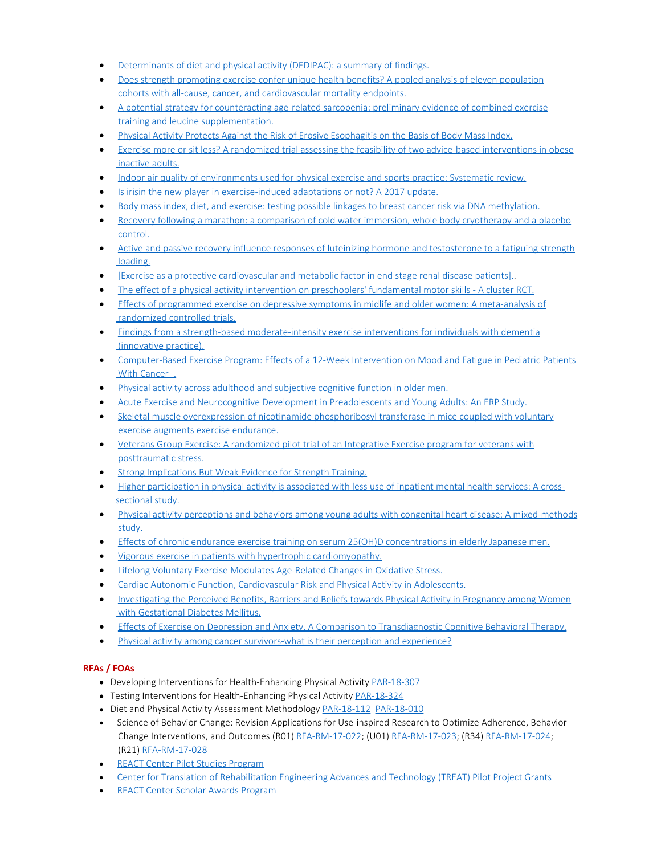- · [Determinants of diet and physical activity \(DEDIPAC\): a summary of findings.](http://www.ncbi.nlm.nih.gov/pubmed/29100542)
- · [Does strength promoting exercise confer unique health benefits? A pooled analysis of eleven population](http://www.ncbi.nlm.nih.gov/pubmed/29099919)  [cohorts with all-cause, cancer, and cardiovascular mortality endpoints.](http://www.ncbi.nlm.nih.gov/pubmed/29099919)
- [A potential strategy for counteracting age-related sarcopenia: preliminary evidence of combined exercise](http://www.ncbi.nlm.nih.gov/pubmed/29099523) training and leucine supplementation.
- · [Physical Activity Protects Against the Risk of Erosive Esophagitis on the Basis of Body Mass Index.](http://www.ncbi.nlm.nih.gov/pubmed/29099464)
- · [Exercise more or sit less? A randomized trial assessing the feasibility of two advice-based interventions in obese](http://www.ncbi.nlm.nih.gov/pubmed/29128417)  [inactive adults.](http://www.ncbi.nlm.nih.gov/pubmed/29128417)
- · [Indoor air quality of environments used for physical exercise and sports practice: Systematic review.](http://www.ncbi.nlm.nih.gov/pubmed/29127930)
- [Is irisin the new player in exercise-induced adaptations or not? A 2017 update.](http://www.ncbi.nlm.nih.gov/pubmed/29127759)
- · [Body mass index, diet, and exercise: testing possible linkages to breast cancer risk via DNA methylation.](http://www.ncbi.nlm.nih.gov/pubmed/29127590)
- [Recovery following a marathon: a comparison of cold water immersion, whole body cryotherapy and a placebo](http://www.ncbi.nlm.nih.gov/pubmed/29127510)  [control.](http://www.ncbi.nlm.nih.gov/pubmed/29127510)
- [Active and passive recovery influence responses of luteinizing hormone and testosterone to a fatiguing strength](http://www.ncbi.nlm.nih.gov/pubmed/29127508)  [loading.](http://www.ncbi.nlm.nih.gov/pubmed/29127508)
- · [\[Exercise as a protective cardiovascular and metabolic factor in end stage renal disease patients\].](http://www.ncbi.nlm.nih.gov/pubmed/29126841).
- [The effect of a physical activity intervention on preschoolers' fundamental motor skills A cluster RCT.](http://www.ncbi.nlm.nih.gov/pubmed/29150312)
- · [Effects of programmed exercise on depressive symptoms in midlife and older women: A meta-analysis of](http://www.ncbi.nlm.nih.gov/pubmed/29150165)  [randomized controlled trials.](http://www.ncbi.nlm.nih.gov/pubmed/29150165)
- · [Findings from a strength-based moderate-intensity exercise interventions for individuals with dementia](http://www.ncbi.nlm.nih.gov/pubmed/29149797)  [\(innovative practice\).](http://www.ncbi.nlm.nih.gov/pubmed/29149797)
- · [Computer-Based Exercise Program: Effects of a 12-Week Intervention on Mood and Fatigue in Pediatric Patients](http://www.ncbi.nlm.nih.gov/pubmed/29149133)  [With Cancer](http://www.ncbi.nlm.nih.gov/pubmed/29149133) .
- · [Physical activity across adulthood and subjective cognitive function in older men.](http://www.ncbi.nlm.nih.gov/pubmed/29147949)
- · [Acute Exercise and Neurocognitive Development in Preadolescents and Young Adults: An ERP Study.](http://www.ncbi.nlm.nih.gov/pubmed/29147585)
- · [Skeletal muscle overexpression of nicotinamide phosphoribosyl transferase in mice coupled with voluntary](http://www.ncbi.nlm.nih.gov/pubmed/29146412)  [exercise augments exercise endurance.](http://www.ncbi.nlm.nih.gov/pubmed/29146412)
- [Veterans Group Exercise: A randomized pilot trial of an Integrative Exercise program for veterans with](http://www.ncbi.nlm.nih.gov/pubmed/29145076)  [posttraumatic stress.](http://www.ncbi.nlm.nih.gov/pubmed/29145076)
- · [Strong Implications But Weak Evidence for Strength Training.](http://www.ncbi.nlm.nih.gov/pubmed/29150494)
- · [Higher participation in physical activity is associated with less use of inpatient mental health services: A cross](http://www.ncbi.nlm.nih.gov/pubmed/29172179)[sectional study.](http://www.ncbi.nlm.nih.gov/pubmed/29172179)
- · [Physical activity perceptions and behaviors among young adults with congenital heart disease: A mixed-methods](http://www.ncbi.nlm.nih.gov/pubmed/29171147)  [study.](http://www.ncbi.nlm.nih.gov/pubmed/29171147)
- · [Effects of chronic endurance exercise training on serum 25\(OH\)D concentrations in elderly Japanese men.](http://www.ncbi.nlm.nih.gov/pubmed/29170904)
- · [Vigorous exercise in patients with hypertrophic cardiomyopathy.](http://www.ncbi.nlm.nih.gov/pubmed/29169752)
- [Lifelong Voluntary Exercise Modulates Age-Related Changes in Oxidative Stress.](http://www.ncbi.nlm.nih.gov/pubmed/29169189)
- · [Cardiac Autonomic Function, Cardiovascular Risk and Physical Activity in Adolescents.](http://www.ncbi.nlm.nih.gov/pubmed/29169188)
- · [Investigating the Perceived Benefits, Barriers and Beliefs towards Physical Activity in Pregnancy among Women](http://www.ncbi.nlm.nih.gov/pubmed/29168999) with Gestational Diabetes Mellitus.
- [Effects of Exercise on Depression and Anxiety. A Comparison to Transdiagnostic Cognitive Behavioral Therapy.](http://www.ncbi.nlm.nih.gov/pubmed/29168106)
- [Physical activity among cancer survivors-what is their perception and experience?](http://www.ncbi.nlm.nih.gov/pubmed/29168034)

# **RFAs / FOAs**

- Developing Interventions for Health-Enhancing Physical Activity [PAR-18-307](https://grants.nih.gov/grants/guide/pa-files/PAR-18-307.html)
- Testing Interventions for Health-Enhancing Physical Activity [PAR-18-324](https://grants.nih.gov/grants/guide/pa-files/PAR-18-324.html)
- Diet and Physical Activity Assessment Methodology [PAR-18-112](https://www.niddk.nih.gov/research-funding/current-opportunities/par-18-112) [PAR-18-010](https://www.niddk.nih.gov/research-funding/current-opportunities/pa-18-010)
- · Science of Behavior Change: Revision Applications for Use-inspired Research to Optimize Adherence, Behavior Change Interventions, and Outcomes (R01) [RFA-RM-17-022;](https://grants.nih.gov/grants/guide/rfa-files/RFA-RM-17-022.html) (U01) [RFA-RM-17-023](https://grants.nih.gov/grants/guide/rfa-files/RFA-RM-17-023.html); (R34) [RFA-RM-17-024](https://grants.nih.gov/grants/guide/rfa-files/RFA-RM-17-024.html); (R21) [RFA-RM-17-028](https://grants.nih.gov/grants/guide/rfa-files/RFA-RM-17-028.html)
- · [REACT Center Pilot Studies Program](https://react.center/funding/pilot-studies/)
- · [Center for Translation of Rehabilitation Engineering Advances and Technology \(TREAT\) Pilot Project Grants](http://treatcenter.org/grant-opportunities/)
- · [REACT Center Scholar Awards Program](https://react.center/funding/scholar-awards-application/?utm_source=Email_marketing&utm_campaign=Saturday_December_3_2016&cmp=1&utm_medium=HTMLEmail)